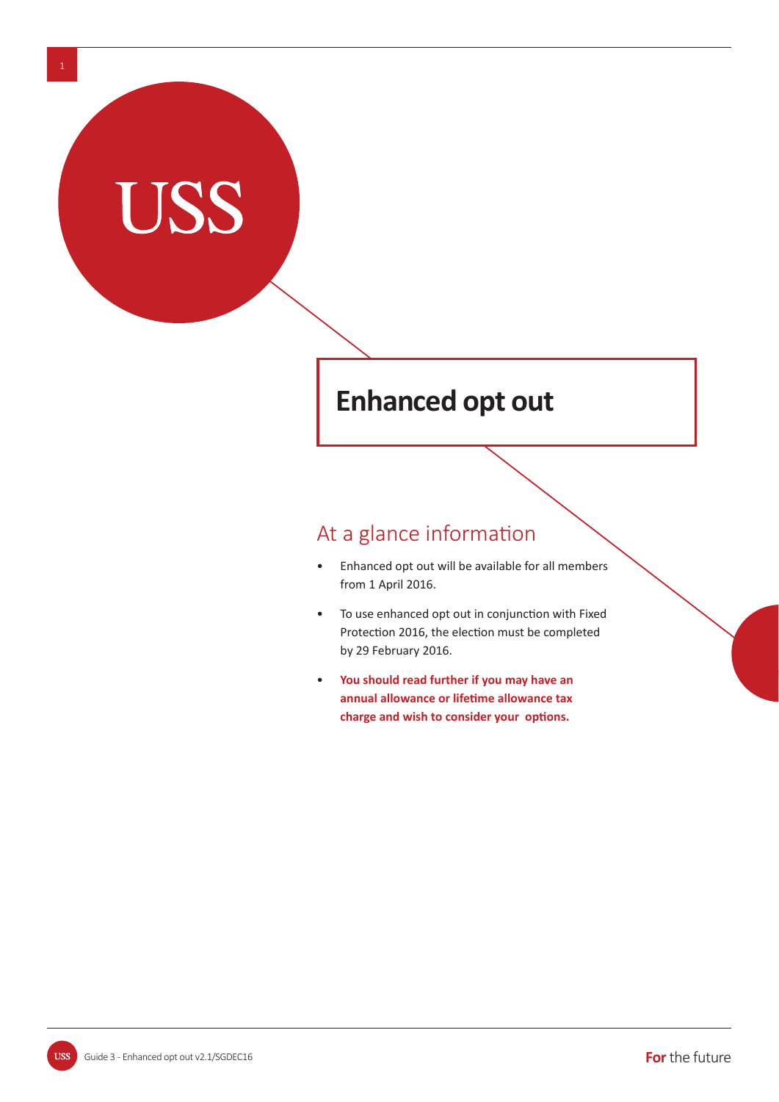# **Enhanced opt out**

# At a glance information

- Enhanced opt out will be available for all members from 1 April 2016.
- To use enhanced opt out in conjunction with Fixed Protection 2016, the election must be completed by 29 February 2016.
- • **You should read further if you may have an annual allowance or lifeƟ me allowance tax**  charge and wish to consider your options.

**USS** 

**TISS**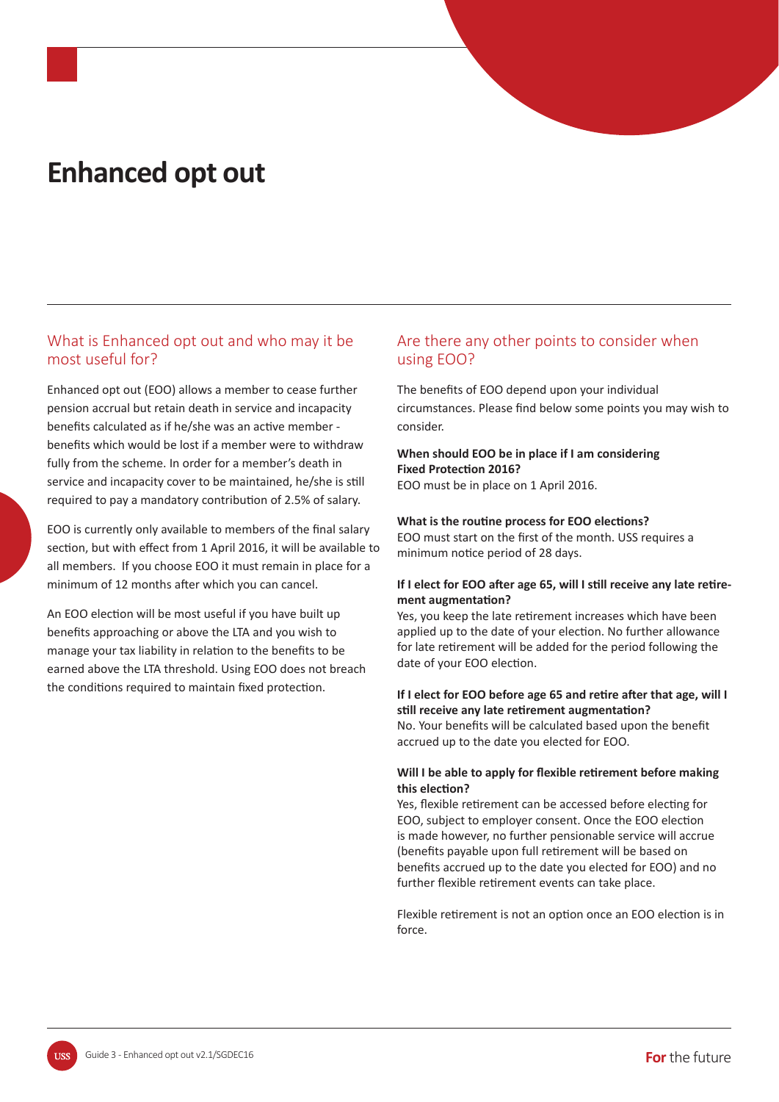# **Enhanced opt out**

## What is Enhanced opt out and who may it be most useful for?

Enhanced opt out (EOO) allows a member to cease further pension accrual but retain death in service and incapacity benefits calculated as if he/she was an active member benefits which would be lost if a member were to withdraw fully from the scheme. In order for a member's death in service and incapacity cover to be maintained, he/she is still required to pay a mandatory contribution of 2.5% of salary.

EOO is currently only available to members of the final salary section, but with effect from 1 April 2016, it will be available to all members. If you choose EOO it must remain in place for a minimum of 12 months after which you can cancel.

An EOO election will be most useful if you have built up benefits approaching or above the LTA and you wish to manage your tax liability in relation to the benefits to be earned above the LTA threshold. Using EOO does not breach the conditions required to maintain fixed protection.

## Are there any other points to consider when using EOO?

The benefits of EOO depend upon your individual circumstances. Please find below some points you may wish to consider.

### **When should EOO be in place if I am considering Fixed Protection 2016?**

EOO must be in place on 1 April 2016.

#### **What is the routine process for EOO elections?**

EOO must start on the first of the month. USS requires a minimum notice period of 28 days.

#### If I elect for EOO after age 65, will I still receive any late retire**ment augmentation?**

Yes, you keep the late retirement increases which have been applied up to the date of your election. No further allowance for late retirement will be added for the period following the date of your EOO election.

#### **If I elect for EOO before age 65 and retire after that age, will I sƟ ll receive any late reƟ rement augmentaƟ on?**

No. Your benefits will be calculated based upon the benefit accrued up to the date you elected for EOO.

#### **Will I be able to apply for flexible retirement before making this elecƟ on?**

Yes, flexible retirement can be accessed before electing for EOO, subject to employer consent. Once the EOO election is made however, no further pensionable service will accrue (benefits payable upon full retirement will be based on benefits accrued up to the date you elected for EOO) and no further flexible retirement events can take place.

Flexible retirement is not an option once an EOO election is in force.